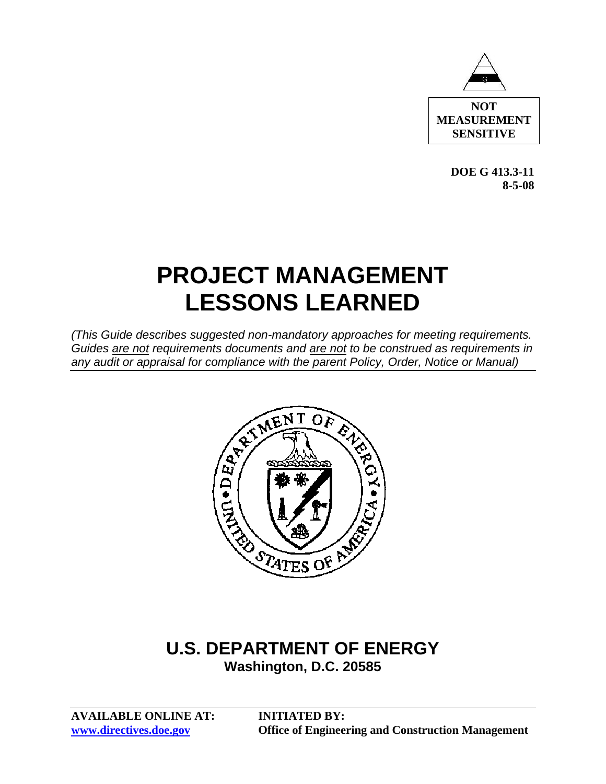

**DOE G 413.3-11 8-5-08** 

# **PROJECT MANAGEMENT LESSONS LEARNED**

*(This Guide describes suggested non-mandatory approaches for meeting requirements. Guides are not requirements documents and are not to be construed as requirements in any audit or appraisal for compliance with the parent Policy, Order, Notice or Manual)* 



# **Washington, D.C. 20585**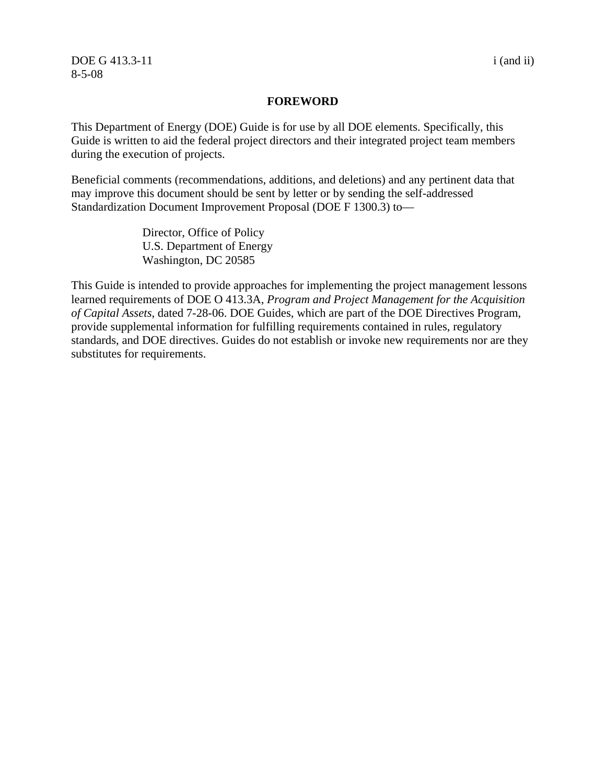DOE G 413.3-11 i (and ii) 8-5-08

#### **FOREWORD**

This Department of Energy (DOE) Guide is for use by all DOE elements. Specifically, this Guide is written to aid the federal project directors and their integrated project team members during the execution of projects.

Beneficial comments (recommendations, additions, and deletions) and any pertinent data that may improve this document should be sent by letter or by sending the self-addressed Standardization Document Improvement Proposal (DOE F 1300.3) to—

> Director, Office of Policy U.S. Department of Energy Washington, DC 20585

This Guide is intended to provide approaches for implementing the project management lessons learned requirements of DOE O 413.3A, *Program and Project Management for the Acquisition of Capital Assets*, dated 7-28-06. DOE Guides, which are part of the DOE Directives Program, provide supplemental information for fulfilling requirements contained in rules, regulatory standards, and DOE directives. Guides do not establish or invoke new requirements nor are they substitutes for requirements.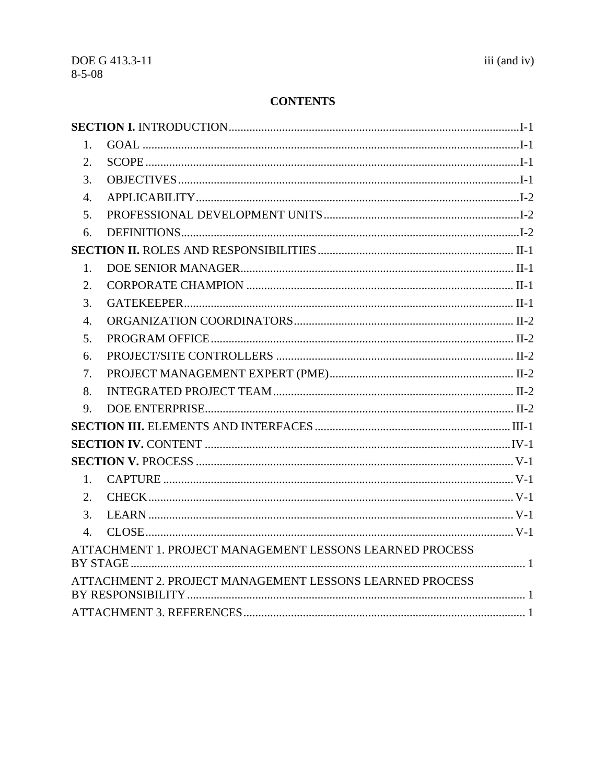# **CONTENTS**

| $1_{-}$          |                                                          |  |
|------------------|----------------------------------------------------------|--|
| 2.               |                                                          |  |
| 3.               |                                                          |  |
| $\overline{4}$ . |                                                          |  |
| 5.               |                                                          |  |
| 6.               |                                                          |  |
|                  |                                                          |  |
| 1.               |                                                          |  |
| 2.               |                                                          |  |
| 3.               |                                                          |  |
| 4.               |                                                          |  |
| 5.               |                                                          |  |
| 6.               |                                                          |  |
| 7.               |                                                          |  |
| 8.               |                                                          |  |
| 9.               |                                                          |  |
|                  |                                                          |  |
|                  |                                                          |  |
|                  |                                                          |  |
| 1.               |                                                          |  |
| 2.               |                                                          |  |
| 3.               |                                                          |  |
| $\overline{4}$ . |                                                          |  |
|                  | ATTACHMENT 1. PROJECT MANAGEMENT LESSONS LEARNED PROCESS |  |
|                  | ATTACHMENT 2. PROJECT MANAGEMENT LESSONS LEARNED PROCESS |  |
|                  |                                                          |  |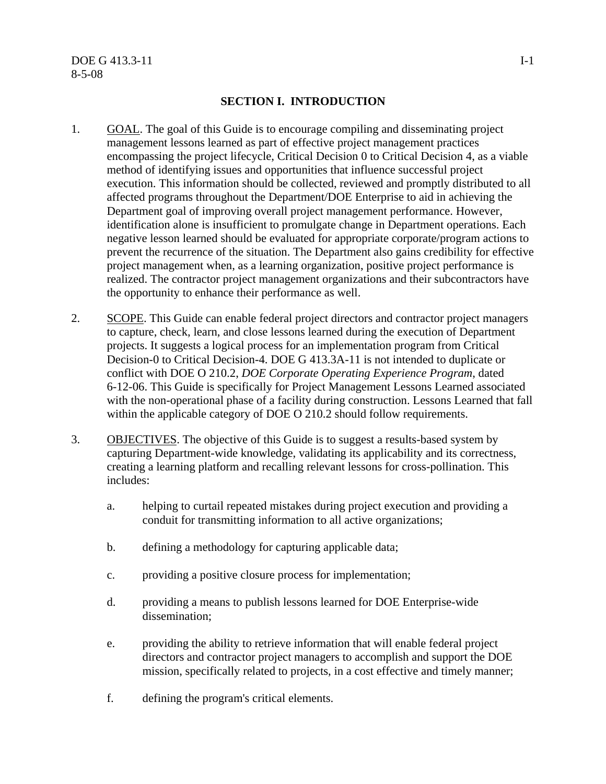#### **SECTION I. INTRODUCTION**

- 1. GOAL. The goal of this Guide is to encourage compiling and disseminating project management lessons learned as part of effective project management practices encompassing the project lifecycle, Critical Decision 0 to Critical Decision 4, as a viable method of identifying issues and opportunities that influence successful project execution. This information should be collected, reviewed and promptly distributed to all affected programs throughout the Department/DOE Enterprise to aid in achieving the Department goal of improving overall project management performance. However, identification alone is insufficient to promulgate change in Department operations. Each negative lesson learned should be evaluated for appropriate corporate/program actions to prevent the recurrence of the situation. The Department also gains credibility for effective project management when, as a learning organization, positive project performance is realized. The contractor project management organizations and their subcontractors have the opportunity to enhance their performance as well.
- 2. SCOPE. This Guide can enable federal project directors and contractor project managers to capture, check, learn, and close lessons learned during the execution of Department projects. It suggests a logical process for an implementation program from Critical Decision-0 to Critical Decision-4. DOE G 413.3A-11 is not intended to duplicate or conflict with DOE O 210.2, *DOE Corporate Operating Experience Program*, dated 6-12-06. This Guide is specifically for Project Management Lessons Learned associated with the non-operational phase of a facility during construction. Lessons Learned that fall within the applicable category of DOE O 210.2 should follow requirements.
- 3. OBJECTIVES. The objective of this Guide is to suggest a results-based system by capturing Department-wide knowledge, validating its applicability and its correctness, creating a learning platform and recalling relevant lessons for cross-pollination. This includes:
	- a. helping to curtail repeated mistakes during project execution and providing a conduit for transmitting information to all active organizations;
	- b. defining a methodology for capturing applicable data;
	- c. providing a positive closure process for implementation;
	- d. providing a means to publish lessons learned for DOE Enterprise-wide dissemination;
	- e. providing the ability to retrieve information that will enable federal project directors and contractor project managers to accomplish and support the DOE mission, specifically related to projects, in a cost effective and timely manner;
	- f. defining the program's critical elements.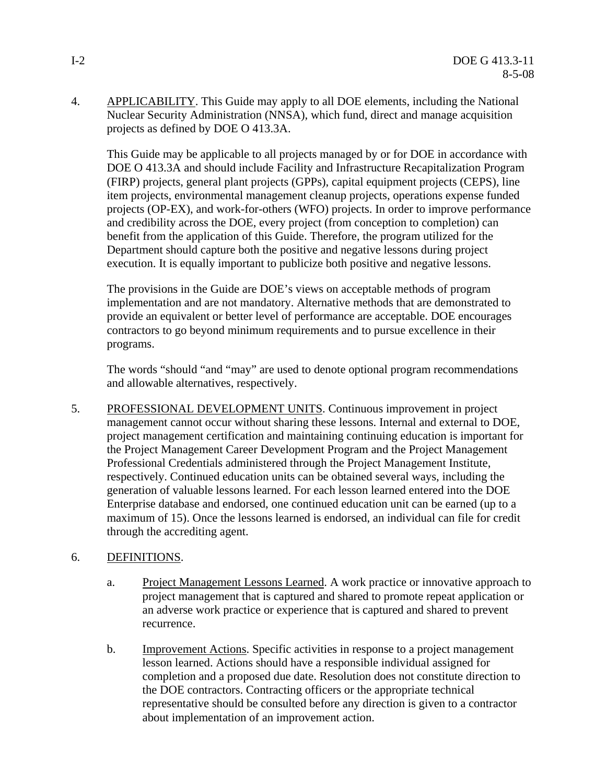4. APPLICABILITY. This Guide may apply to all DOE elements, including the National Nuclear Security Administration (NNSA), which fund, direct and manage acquisition projects as defined by DOE O 413.3A.

This Guide may be applicable to all projects managed by or for DOE in accordance with DOE O 413.3A and should include Facility and Infrastructure Recapitalization Program (FIRP) projects, general plant projects (GPPs), capital equipment projects (CEPS), line item projects, environmental management cleanup projects, operations expense funded projects (OP-EX), and work-for-others (WFO) projects. In order to improve performance and credibility across the DOE, every project (from conception to completion) can benefit from the application of this Guide. Therefore, the program utilized for the Department should capture both the positive and negative lessons during project execution. It is equally important to publicize both positive and negative lessons.

The provisions in the Guide are DOE's views on acceptable methods of program implementation and are not mandatory. Alternative methods that are demonstrated to provide an equivalent or better level of performance are acceptable. DOE encourages contractors to go beyond minimum requirements and to pursue excellence in their programs.

The words "should "and "may" are used to denote optional program recommendations and allowable alternatives, respectively.

5. PROFESSIONAL DEVELOPMENT UNITS. Continuous improvement in project management cannot occur without sharing these lessons. Internal and external to DOE, project management certification and maintaining continuing education is important for the Project Management Career Development Program and the Project Management Professional Credentials administered through the Project Management Institute, respectively. Continued education units can be obtained several ways, including the generation of valuable lessons learned. For each lesson learned entered into the DOE Enterprise database and endorsed, one continued education unit can be earned (up to a maximum of 15). Once the lessons learned is endorsed, an individual can file for credit through the accrediting agent.

# 6. DEFINITIONS.

- a. Project Management Lessons Learned. A work practice or innovative approach to project management that is captured and shared to promote repeat application or an adverse work practice or experience that is captured and shared to prevent recurrence.
- b. Improvement Actions. Specific activities in response to a project management lesson learned. Actions should have a responsible individual assigned for completion and a proposed due date. Resolution does not constitute direction to the DOE contractors. Contracting officers or the appropriate technical representative should be consulted before any direction is given to a contractor about implementation of an improvement action.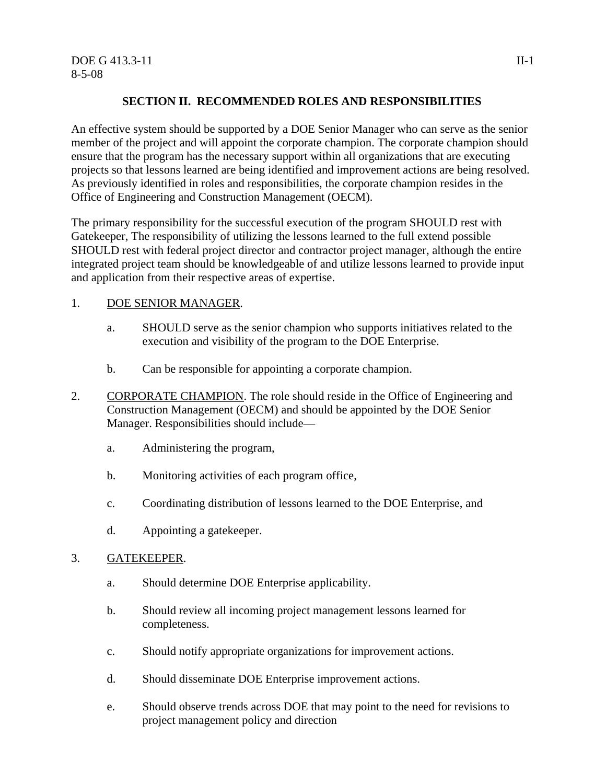# **SECTION II. RECOMMENDED ROLES AND RESPONSIBILITIES**

An effective system should be supported by a DOE Senior Manager who can serve as the senior member of the project and will appoint the corporate champion. The corporate champion should ensure that the program has the necessary support within all organizations that are executing projects so that lessons learned are being identified and improvement actions are being resolved. As previously identified in roles and responsibilities, the corporate champion resides in the Office of Engineering and Construction Management (OECM).

The primary responsibility for the successful execution of the program SHOULD rest with Gatekeeper, The responsibility of utilizing the lessons learned to the full extend possible SHOULD rest with federal project director and contractor project manager, although the entire integrated project team should be knowledgeable of and utilize lessons learned to provide input and application from their respective areas of expertise.

### 1. DOE SENIOR MANAGER.

- a. SHOULD serve as the senior champion who supports initiatives related to the execution and visibility of the program to the DOE Enterprise.
- b. Can be responsible for appointing a corporate champion.
- 2. CORPORATE CHAMPION. The role should reside in the Office of Engineering and Construction Management (OECM) and should be appointed by the DOE Senior Manager. Responsibilities should include
	- a. Administering the program,
	- b. Monitoring activities of each program office,
	- c. Coordinating distribution of lessons learned to the DOE Enterprise, and
	- d. Appointing a gatekeeper.

## 3. GATEKEEPER.

- a. Should determine DOE Enterprise applicability.
- b. Should review all incoming project management lessons learned for completeness.
- c. Should notify appropriate organizations for improvement actions.
- d. Should disseminate DOE Enterprise improvement actions.
- e. Should observe trends across DOE that may point to the need for revisions to project management policy and direction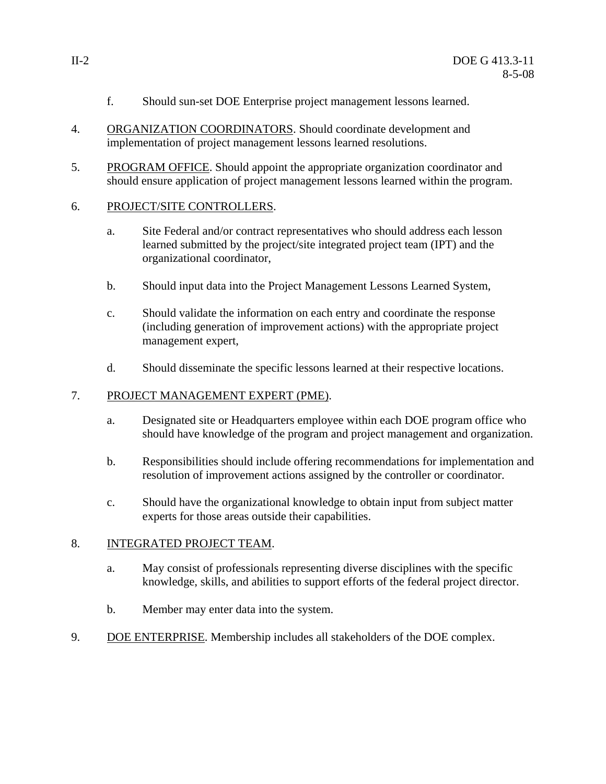- f. Should sun-set DOE Enterprise project management lessons learned.
- 4. ORGANIZATION COORDINATORS. Should coordinate development and implementation of project management lessons learned resolutions.
- 5. PROGRAM OFFICE. Should appoint the appropriate organization coordinator and should ensure application of project management lessons learned within the program.

# 6. PROJECT/SITE CONTROLLERS.

- a. Site Federal and/or contract representatives who should address each lesson learned submitted by the project/site integrated project team (IPT) and the organizational coordinator,
- b. Should input data into the Project Management Lessons Learned System,
- c. Should validate the information on each entry and coordinate the response (including generation of improvement actions) with the appropriate project management expert,
- d. Should disseminate the specific lessons learned at their respective locations.

# 7. PROJECT MANAGEMENT EXPERT (PME).

- a. Designated site or Headquarters employee within each DOE program office who should have knowledge of the program and project management and organization.
- b. Responsibilities should include offering recommendations for implementation and resolution of improvement actions assigned by the controller or coordinator.
- c. Should have the organizational knowledge to obtain input from subject matter experts for those areas outside their capabilities.

# 8. INTEGRATED PROJECT TEAM.

- a. May consist of professionals representing diverse disciplines with the specific knowledge, skills, and abilities to support efforts of the federal project director.
- b. Member may enter data into the system.
- 9. DOE ENTERPRISE. Membership includes all stakeholders of the DOE complex.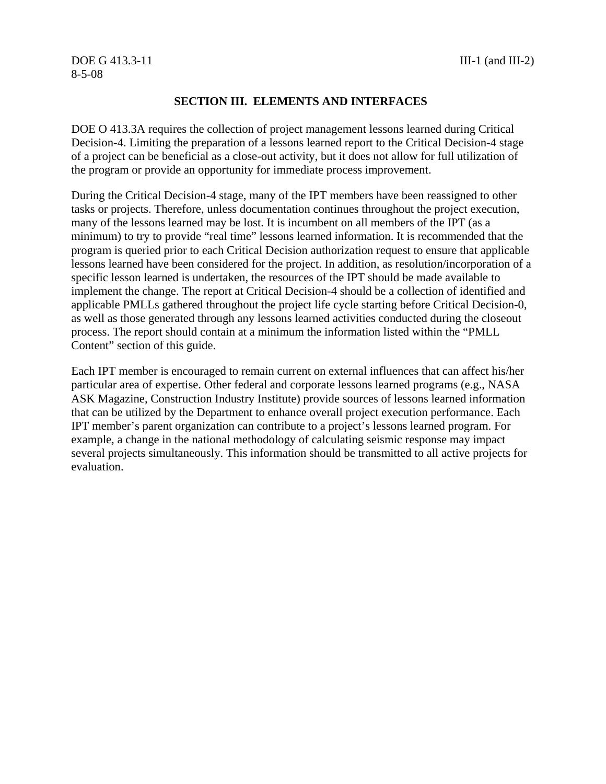#### DOE G 413.3-11 **III-1** (and III-2) 8-5-08

#### **SECTION III. ELEMENTS AND INTERFACES**

DOE O 413.3A requires the collection of project management lessons learned during Critical Decision-4. Limiting the preparation of a lessons learned report to the Critical Decision-4 stage of a project can be beneficial as a close-out activity, but it does not allow for full utilization of the program or provide an opportunity for immediate process improvement.

During the Critical Decision-4 stage, many of the IPT members have been reassigned to other tasks or projects. Therefore, unless documentation continues throughout the project execution, many of the lessons learned may be lost. It is incumbent on all members of the IPT (as a minimum) to try to provide "real time" lessons learned information. It is recommended that the program is queried prior to each Critical Decision authorization request to ensure that applicable lessons learned have been considered for the project. In addition, as resolution/incorporation of a specific lesson learned is undertaken, the resources of the IPT should be made available to implement the change. The report at Critical Decision-4 should be a collection of identified and applicable PMLLs gathered throughout the project life cycle starting before Critical Decision-0, as well as those generated through any lessons learned activities conducted during the closeout process. The report should contain at a minimum the information listed within the "PMLL Content" section of this guide.

Each IPT member is encouraged to remain current on external influences that can affect his/her particular area of expertise. Other federal and corporate lessons learned programs (e.g., NASA ASK Magazine, Construction Industry Institute) provide sources of lessons learned information that can be utilized by the Department to enhance overall project execution performance. Each IPT member's parent organization can contribute to a project's lessons learned program. For example, a change in the national methodology of calculating seismic response may impact several projects simultaneously. This information should be transmitted to all active projects for evaluation.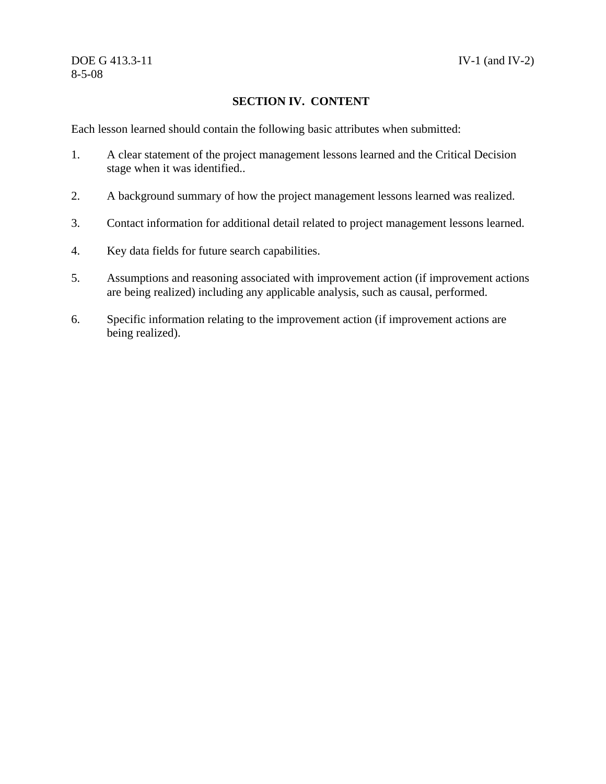# **SECTION IV. CONTENT**

Each lesson learned should contain the following basic attributes when submitted:

- 1. A clear statement of the project management lessons learned and the Critical Decision stage when it was identified..
- 2. A background summary of how the project management lessons learned was realized.
- 3. Contact information for additional detail related to project management lessons learned.
- 4. Key data fields for future search capabilities.
- 5. Assumptions and reasoning associated with improvement action (if improvement actions are being realized) including any applicable analysis, such as causal, performed.
- 6. Specific information relating to the improvement action (if improvement actions are being realized).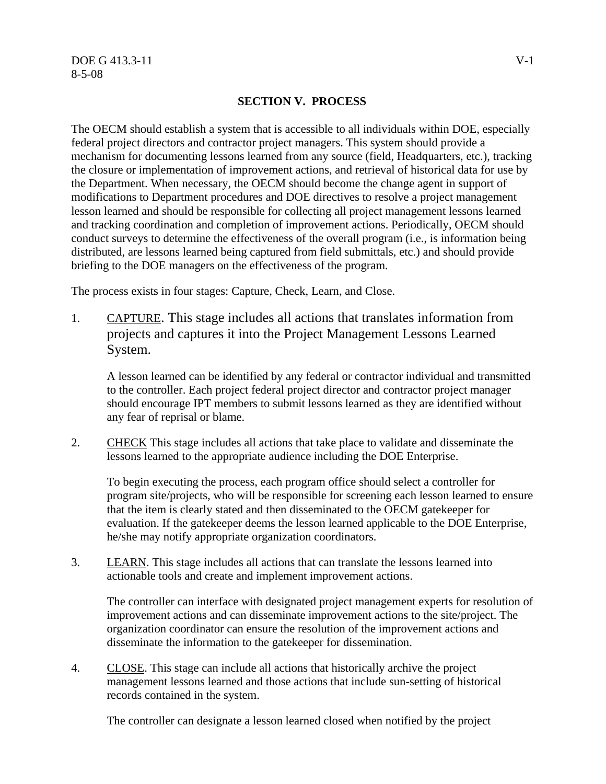#### **SECTION V. PROCESS**

The OECM should establish a system that is accessible to all individuals within DOE, especially federal project directors and contractor project managers. This system should provide a mechanism for documenting lessons learned from any source (field, Headquarters, etc.), tracking the closure or implementation of improvement actions, and retrieval of historical data for use by the Department. When necessary, the OECM should become the change agent in support of modifications to Department procedures and DOE directives to resolve a project management lesson learned and should be responsible for collecting all project management lessons learned and tracking coordination and completion of improvement actions. Periodically, OECM should conduct surveys to determine the effectiveness of the overall program (i.e., is information being distributed, are lessons learned being captured from field submittals, etc.) and should provide briefing to the DOE managers on the effectiveness of the program.

The process exists in four stages: Capture, Check, Learn, and Close.

1. CAPTURE. This stage includes all actions that translates information from projects and captures it into the Project Management Lessons Learned System.

A lesson learned can be identified by any federal or contractor individual and transmitted to the controller. Each project federal project director and contractor project manager should encourage IPT members to submit lessons learned as they are identified without any fear of reprisal or blame.

2. CHECK This stage includes all actions that take place to validate and disseminate the lessons learned to the appropriate audience including the DOE Enterprise.

To begin executing the process, each program office should select a controller for program site/projects, who will be responsible for screening each lesson learned to ensure that the item is clearly stated and then disseminated to the OECM gatekeeper for evaluation. If the gatekeeper deems the lesson learned applicable to the DOE Enterprise, he/she may notify appropriate organization coordinators.

3. LEARN. This stage includes all actions that can translate the lessons learned into actionable tools and create and implement improvement actions.

The controller can interface with designated project management experts for resolution of improvement actions and can disseminate improvement actions to the site/project. The organization coordinator can ensure the resolution of the improvement actions and disseminate the information to the gatekeeper for dissemination.

4. CLOSE. This stage can include all actions that historically archive the project management lessons learned and those actions that include sun-setting of historical records contained in the system.

The controller can designate a lesson learned closed when notified by the project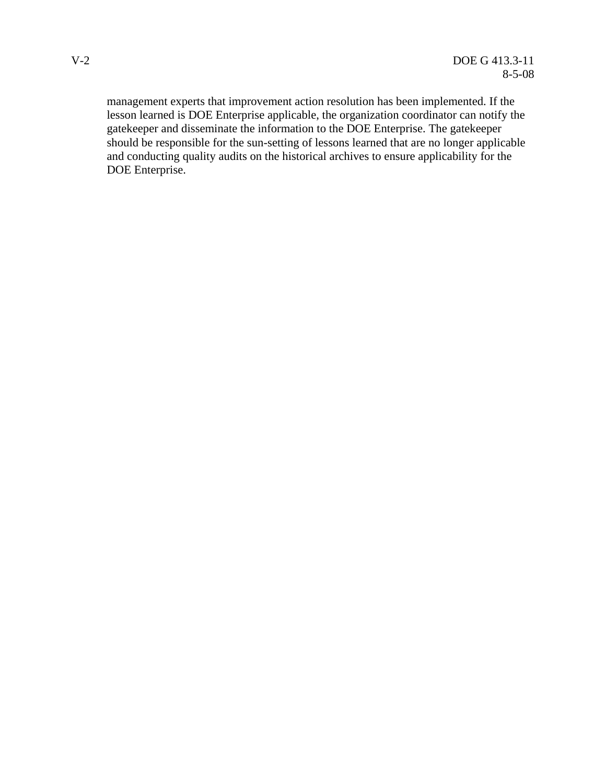management experts that improvement action resolution has been implemented. If the lesson learned is DOE Enterprise applicable, the organization coordinator can notify the gatekeeper and disseminate the information to the DOE Enterprise. The gatekeeper should be responsible for the sun-setting of lessons learned that are no longer applicable and conducting quality audits on the historical archives to ensure applicability for the DOE Enterprise.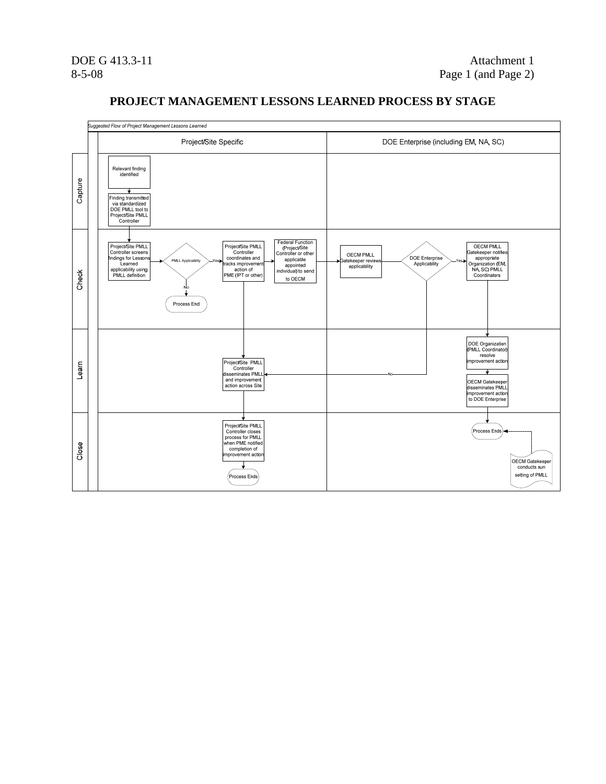

#### **PROJECT MANAGEMENT LESSONS LEARNED PROCESS BY STAGE**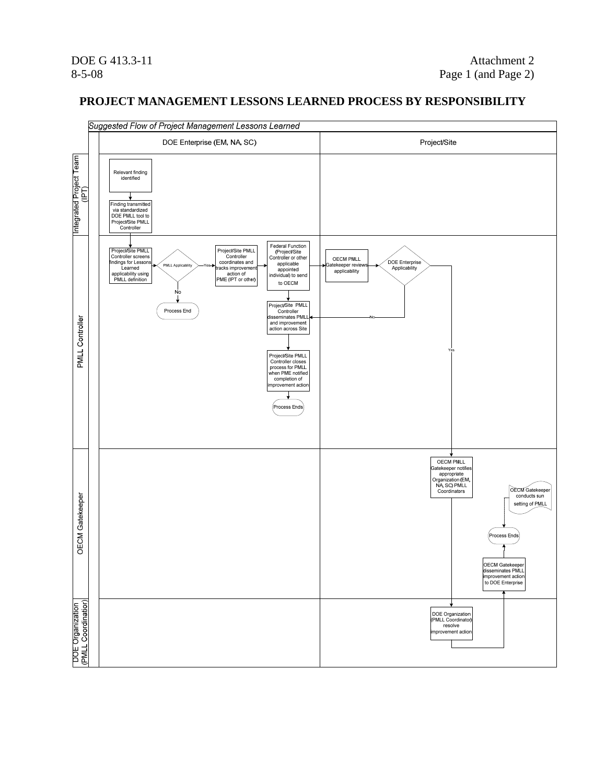#### **PROJECT MANAGEMENT LESSONS LEARNED PROCESS BY RESPONSIBILITY**